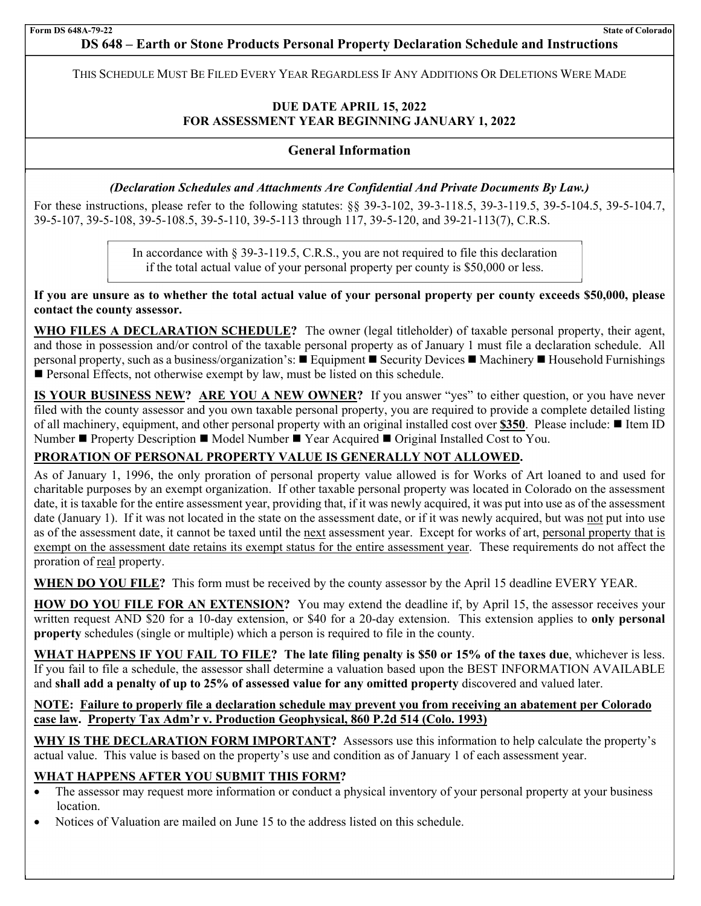# **DS 648 – Earth or Stone Products Personal Property Declaration Schedule and Instructions**

the contract of the contract of the contract of THIS SCHEDULE MUST BE FILED EVERY YEAR REGARDLESS IF ANY ADDITIONS OR DELETIONS WERE MADE

# **DUE DATE APRIL 15, 2022 FOR ASSESSMENT YEAR BEGINNING JANUARY 1, 2022**

## **General Information**

## *(Declaration Schedules and Attachments Are Confidential And Private Documents By Law.)*

For these instructions, please refer to the following statutes: §§ 39-3-102, 39-3-118.5, 39-3-119.5, 39-5-104.5, 39-5-104.7, 39-5-107, 39-5-108, 39-5-108.5, 39-5-110, 39-5-113 through 117, 39-5-120, and 39-21-113(7), C.R.S.

> In accordance with § 39-3-119.5, C.R.S., you are not required to file this declaration if the total actual value of your personal property per county is \$50,000 or less.

**If you are unsure as to whether the total actual value of your personal property per county exceeds \$50,000, please contact the county assessor.** 

**WHO FILES A DECLARATION SCHEDULE?** The owner (legal titleholder) of taxable personal property, their agent, and those in possession and/or control of the taxable personal property as of January 1 must file a declaration schedule. All personal property, such as a business/organization's: ■ Equipment ■ Security Devices ■ Machinery ■ Household Furnishings **Personal Effects, not otherwise exempt by law, must be listed on this schedule.** 

**IS YOUR BUSINESS NEW? ARE YOU A NEW OWNER?** If you answer "yes" to either question, or you have never filed with the county assessor and you own taxable personal property, you are required to provide a complete detailed listing of all machinery, equipment, and other personal property with an original installed cost over \$350. Please include: ■ Item ID Number ■ Property Description ■ Model Number ■ Year Acquired ■ Original Installed Cost to You.

# **PRORATION OF PERSONAL PROPERTY VALUE IS GENERALLY NOT ALLOWED.**

As of January 1, 1996, the only proration of personal property value allowed is for Works of Art loaned to and used for charitable purposes by an exempt organization. If other taxable personal property was located in Colorado on the assessment date, it is taxable for the entire assessment year, providing that, if it was newly acquired, it was put into use as of the assessment date (January 1). If it was not located in the state on the assessment date, or if it was newly acquired, but was not put into use as of the assessment date, it cannot be taxed until the next assessment year. Except for works of art, personal property that is exempt on the assessment date retains its exempt status for the entire assessment year. These requirements do not affect the proration of real property.

**WHEN DO YOU FILE?** This form must be received by the county assessor by the April 15 deadline EVERY YEAR.

**HOW DO YOU FILE FOR AN EXTENSION?** You may extend the deadline if, by April 15, the assessor receives your written request AND \$20 for a 10-day extension, or \$40 for a 20-day extension. This extension applies to **only personal property** schedules (single or multiple) which a person is required to file in the county.

**WHAT HAPPENS IF YOU FAIL TO FILE? The late filing penalty is \$50 or 15% of the taxes due**, whichever is less. If you fail to file a schedule, the assessor shall determine a valuation based upon the BEST INFORMATION AVAILABLE and **shall add a penalty of up to 25% of assessed value for any omitted property** discovered and valued later.

## **NOTE: Failure to properly file a declaration schedule may prevent you from receiving an abatement per Colorado case law. Property Tax Adm'r v. Production Geophysical, 860 P.2d 514 (Colo. 1993)**

WHY IS THE DECLARATION FORM IMPORTANT? Assessors use this information to help calculate the property's actual value. This value is based on the property's use and condition as of January 1 of each assessment year.

# **WHAT HAPPENS AFTER YOU SUBMIT THIS FORM?**

- The assessor may request more information or conduct a physical inventory of your personal property at your business location.
- Notices of Valuation are mailed on June 15 to the address listed on this schedule.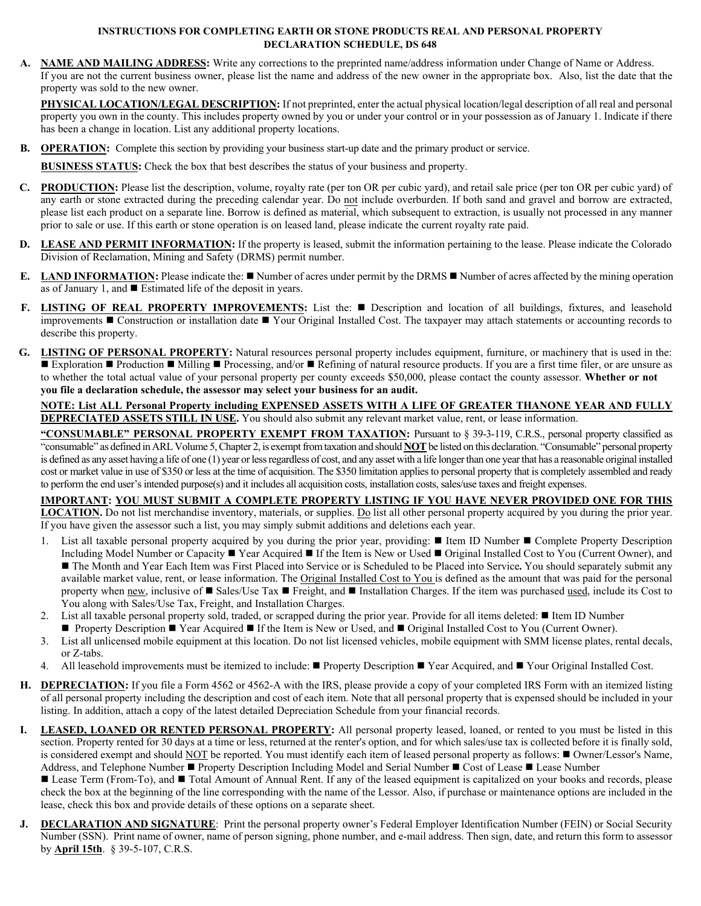#### **INSTRUCTIONS FOR COMPLETING EARTH OR STONE PRODUCTS REAL AND PERSONAL PROPERTY DECLARATION SCHEDULE, DS 648**

**NAME AND MAILING ADDRESS:** Write any corrections to the preprinted name/address information under Change of Name or Address. If you are not the current business owner, please list the name and address of the new owner in the appropriate box. Also, list the date that the property was sold to the new owner.

**PHYSICAL LOCATION/LEGAL DESCRIPTION:** If not preprinted, enter the actual physical location/legal description of all real and personal property you own in the county. This includes property owned by you or under your control or in your possession as of January 1. Indicate if there has been a change in location. List any additional property locations.

**B. OPERATION:** Complete this section by providing your business start-up date and the primary product or service.

**BUSINESS STATUS:** Check the box that best describes the status of your business and property.

- **C. PRODUCTION:** Please list the description, volume, royalty rate (per ton OR per cubic yard), and retail sale price (per ton OR per cubic yard) of any earth or stone extracted during the preceding calendar year. Do not include overburden. If both sand and gravel and borrow are extracted, please list each product on a separate line. Borrow is defined as material, which subsequent to extraction, is usually not processed in any manner prior to sale or use. If this earth or stone operation is on leased land, please indicate the current royalty rate paid.
- **D. LEASE AND PERMIT INFORMATION:** If the property is leased, submit the information pertaining to the lease. Please indicate the Colorado Division of Reclamation, Mining and Safety (DRMS) permit number.
- **E. LAND INFORMATION:** Please indicate the: Number of acres under permit by the DRMS Number of acres affected by the mining operation as of January 1, and Estimated life of the deposit in years.
- **F.** LISTING OF REAL PROPERTY IMPROVEMENTS: List the: Description and location of all buildings, fixtures, and leasehold improvements  $\blacksquare$  Construction or installation date  $\blacksquare$  Your Original Installed Cost. The taxpayer may attach statements or accounting records to describe this property.
- **G. LISTING OF PERSONAL PROPERTY:** Natural resources personal property includes equipment, furniture, or machinery that is used in the: Exploration  $\blacksquare$  Production  $\blacksquare$  Milling  $\blacksquare$  Processing, and/or  $\blacksquare$  Refining of natural resource products. If you are a first time filer, or are unsure as to whether the total actual value of your personal property per county exceeds \$50,000, please contact the county assessor. **Whether or not you file a declaration schedule, the assessor may select your business for an audit.**

### **NOTE: List ALL Personal Property including EXPENSED ASSETS WITH A LIFE OF GREATER THANONE YEAR AND FULLY DEPRECIATED ASSETS STILL IN USE.** You should also submit any relevant market value, rent, or lease information.

**"CONSUMABLE" PERSONAL PROPERTY EXEMPT FROM TAXATION:** Pursuant to § 39-3-119, C.R.S., personal property classified as "consumable" as defined in ARL Volume 5, Chapter 2, is exempt from taxation and should **NOT** be listed on this declaration. "Consumable" personal property is defined as any asset having a life of one (1) year or less regardless of cost, and any asset with a life longer than one year that has a reasonable original installed cost or market value in use of \$350 or less at the time of acquisition. The \$350 limitation applies to personal property that is completely assembled and ready to perform the end user's intended purpose(s) and it includes all acquisition costs, installation costs, sales/use taxes and freight expenses.

### **IMPORTANT: YOU MUST SUBMIT A COMPLETE PROPERTY LISTING IF YOU HAVE NEVER PROVIDED ONE FOR THIS**

**LOCATION.** Do not list merchandise inventory, materials, or supplies. Do list all other personal property acquired by you during the prior year. If you have given the assessor such a list, you may simply submit additions and deletions each year.

- 1. List all taxable personal property acquired by you during the prior year, providing: Item ID Number Complete Property Description Including Model Number or Capacity ■ Year Acquired ■ If the Item is New or Used ■ Original Installed Cost to You (Current Owner), and The Month and Year Each Item was First Placed into Service or is Scheduled to be Placed into Service**.** You should separately submit any available market value, rent, or lease information. The Original Installed Cost to You is defined as the amount that was paid for the personal property when  $\frac{new}{new}$ , inclusive of  $\blacksquare$  Sales/Use Tax  $\blacksquare$  Freight, and  $\blacksquare$  Installation Charges. If the item was purchased used, include its Cost to You along with Sales/Use Tax, Freight, and Installation Charges.
- 2. List all taxable personal property sold, traded, or scrapped during the prior year. Provide for all items deleted: If Item ID Number
	- Property Description Year Acquired If the Item is New or Used, and Original Installed Cost to You (Current Owner).
- 3. List all unlicensed mobile equipment at this location. Do not list licensed vehicles, mobile equipment with SMM license plates, rental decals, or Z-tabs.
- 4. All leasehold improvements must be itemized to include: Property Description Year Acquired, and Your Original Installed Cost.
- **H. DEPRECIATION:** If you file a Form 4562 or 4562-A with the IRS, please provide a copy of your completed IRS Form with an itemized listing of all personal property including the description and cost of each item. Note that all personal property that is expensed should be included in your listing. In addition, attach a copy of the latest detailed Depreciation Schedule from your financial records.
- **I. LEASED, LOANED OR RENTED PERSONAL PROPERTY:** All personal property leased, loaned, or rented to you must be listed in this section. Property rented for 30 days at a time or less, returned at the renter's option, and for which sales/use tax is collected before it is finally sold, is considered exempt and should NOT be reported. You must identify each item of leased personal property as follows:  $\blacksquare$  Owner/Lessor's Name, Address, and Telephone Number **P** Property Description Including Model and Serial Number **Cost of Lease PLease Number**

Lease Term (From-To), and  $\blacksquare$  Total Amount of Annual Rent. If any of the leased equipment is capitalized on your books and records, please check the box at the beginning of the line corresponding with the name of the Lessor. Also, if purchase or maintenance options are included in the lease, check this box and provide details of these options on a separate sheet.

**J. DECLARATION AND SIGNATURE**: Print the personal property owner's Federal Employer Identification Number (FEIN) or Social Security Number (SSN). Print name of owner, name of person signing, phone number, and e-mail address. Then sign, date, and return this form to assessor by **April 15th**. § 39-5-107, C.R.S.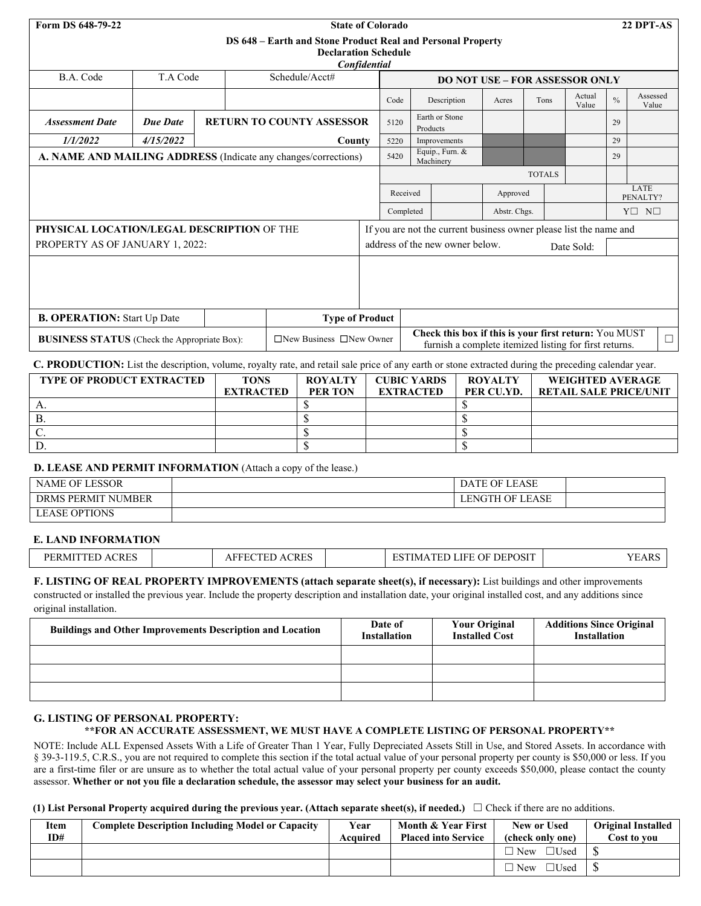| Form DS 648-79-22                                                                                          |                 |  | <b>State of Colorado</b>                                                                                                                         |                                                                                                                 |           |                                       |               |                  |                 |               | 22 DPT-AS             |  |
|------------------------------------------------------------------------------------------------------------|-----------------|--|--------------------------------------------------------------------------------------------------------------------------------------------------|-----------------------------------------------------------------------------------------------------------------|-----------|---------------------------------------|---------------|------------------|-----------------|---------------|-----------------------|--|
| DS 648 – Earth and Stone Product Real and Personal Property<br><b>Declaration Schedule</b><br>Confidential |                 |  |                                                                                                                                                  |                                                                                                                 |           |                                       |               |                  |                 |               |                       |  |
| B.A. Code                                                                                                  | T.A Code        |  | Schedule/Acct#                                                                                                                                   |                                                                                                                 |           | <b>DO NOT USE – FOR ASSESSOR ONLY</b> |               |                  |                 |               |                       |  |
|                                                                                                            |                 |  |                                                                                                                                                  | Code                                                                                                            |           | Description                           | Acres         | Tons             | Actual<br>Value | $\frac{0}{0}$ | Assessed<br>Value     |  |
| <b>Assessment Date</b>                                                                                     | <b>Due Date</b> |  | <b>RETURN TO COUNTY ASSESSOR</b>                                                                                                                 | 5120                                                                                                            |           | Earth or Stone<br>Products            |               |                  |                 | 29            |                       |  |
| 1/1/2022                                                                                                   | 4/15/2022       |  | County                                                                                                                                           | 5220                                                                                                            |           | Improvements                          |               |                  |                 | 29            |                       |  |
|                                                                                                            |                 |  | A. NAME AND MAILING ADDRESS (Indicate any changes/corrections)                                                                                   | 5420                                                                                                            |           | Equip., Furn. &<br>Machinery          |               |                  |                 | 29            |                       |  |
|                                                                                                            |                 |  |                                                                                                                                                  |                                                                                                                 |           |                                       | <b>TOTALS</b> |                  |                 |               |                       |  |
|                                                                                                            |                 |  |                                                                                                                                                  | Received<br>Approved                                                                                            |           |                                       |               | LATE<br>PENALTY? |                 |               |                       |  |
|                                                                                                            |                 |  |                                                                                                                                                  |                                                                                                                 | Completed |                                       | Abstr. Chgs.  |                  |                 |               | $Y \square N \square$ |  |
| PHYSICAL LOCATION/LEGAL DESCRIPTION OF THE                                                                 |                 |  |                                                                                                                                                  | If you are not the current business owner please list the name and                                              |           |                                       |               |                  |                 |               |                       |  |
| PROPERTY AS OF JANUARY 1, 2022:                                                                            |                 |  |                                                                                                                                                  | address of the new owner below.<br>Date Sold:                                                                   |           |                                       |               |                  |                 |               |                       |  |
|                                                                                                            |                 |  |                                                                                                                                                  |                                                                                                                 |           |                                       |               |                  |                 |               |                       |  |
| <b>B. OPERATION:</b> Start Up Date                                                                         |                 |  | <b>Type of Product</b>                                                                                                                           |                                                                                                                 |           |                                       |               |                  |                 |               |                       |  |
| $\Box$ New Business $\Box$ New Owner<br><b>BUSINESS STATUS</b> (Check the Appropriate Box):                |                 |  |                                                                                                                                                  | Check this box if this is your first return: You MUST<br>furnish a complete itemized listing for first returns. |           |                                       |               | $\Box$           |                 |               |                       |  |
|                                                                                                            |                 |  | $\alpha$ proprietion. The decision is been contracted in the first of the contracted in the contracted defined the contracted and the contracted |                                                                                                                 |           |                                       |               |                  |                 |               |                       |  |

| C. PRODUCTION: List the description, volume, royalty rate, and retail sale price of any earth or stone extracted during the preceding calendar year. |  |  |  |
|------------------------------------------------------------------------------------------------------------------------------------------------------|--|--|--|
|------------------------------------------------------------------------------------------------------------------------------------------------------|--|--|--|

| <b>TYPE OF PRODUCT EXTRACTED</b> | <b>TONS</b>      | <b>ROYALTY</b> | <b>CUBIC YARDS</b> | <b>ROYALTY</b> | <b>WEIGHTED AVERAGE</b>       |
|----------------------------------|------------------|----------------|--------------------|----------------|-------------------------------|
|                                  | <b>EXTRACTED</b> | PER TON        | <b>EXTRACTED</b>   | PER CU.YD.     | <b>RETAIL SALE PRICE/UNIT</b> |
|                                  |                  |                |                    |                |                               |
|                                  |                  |                |                    |                |                               |
|                                  |                  |                |                    |                |                               |
|                                  |                  |                |                    |                |                               |

## **D. LEASE AND PERMIT INFORMATION** (Attach a copy of the lease.)

| NAME OF LESSOR                 | DATE OF LEASE   |  |
|--------------------------------|-----------------|--|
| DRMS PERMIT<br>' NUMBER        | LENGTH OF LEASE |  |
| <b>OPTIONS</b><br><b>LEASE</b> |                 |  |

## **E. LAND INFORMATION**

| <b>CRES</b><br>DЕ<br>⊹R M '<br>. н.<br>$\Delta$ | $\sim$ $\sim$ $\sim$ $\sim$<br>---<br>`KE.<br>$\mathbf{r}$ | ADOCIT<br>--<br>-<br>HC'<br>√.)F<br>. JE<br>I M.<br>VOL. | $\overline{\phantom{a}}$<br>T<br>AΚ |
|-------------------------------------------------|------------------------------------------------------------|----------------------------------------------------------|-------------------------------------|
|-------------------------------------------------|------------------------------------------------------------|----------------------------------------------------------|-------------------------------------|

#### **F. LISTING OF REAL PROPERTY IMPROVEMENTS (attach separate sheet(s), if necessary):** List buildings and other improvements constructed or installed the previous year. Include the property description and installation date, your original installed cost, and any additions since

original installation.

| Date of<br><b>Installation</b> | <b>Your Original</b><br><b>Installed Cost</b> | <b>Additions Since Original</b><br><b>Installation</b> |
|--------------------------------|-----------------------------------------------|--------------------------------------------------------|
|                                |                                               |                                                        |
|                                |                                               |                                                        |
|                                |                                               |                                                        |
|                                |                                               |                                                        |

# **G. LISTING OF PERSONAL PROPERTY:**

## **\*\*FOR AN ACCURATE ASSESSMENT, WE MUST HAVE A COMPLETE LISTING OF PERSONAL PROPERTY\*\***

NOTE: Include ALL Expensed Assets With a Life of Greater Than 1 Year, Fully Depreciated Assets Still in Use, and Stored Assets. In accordance with § 39-3-119.5, C.R.S., you are not required to complete this section if the total actual value of your personal property per county is \$50,000 or less. If you are a first-time filer or are unsure as to whether the total actual value of your personal property per county exceeds \$50,000, please contact the county assessor. **Whether or not you file a declaration schedule, the assessor may select your business for an audit.** 

## **(1) List Personal Property acquired during the previous year. (Attach separate sheet(s), if needed.)** ☐ Check if there are no additions.

| Item<br>ID# | <b>Complete Description Including Model or Capacity</b> | Year<br>Acquired | <b>Month &amp; Year First</b><br><b>Placed into Service</b> | New or Used<br>(check only one) | <b>Original Installed</b><br>Cost to vou |
|-------------|---------------------------------------------------------|------------------|-------------------------------------------------------------|---------------------------------|------------------------------------------|
|             |                                                         |                  |                                                             | $\Box$ New<br>$\bigcup$ Used    |                                          |
|             |                                                         |                  |                                                             | $\Box$ Used<br>New              |                                          |